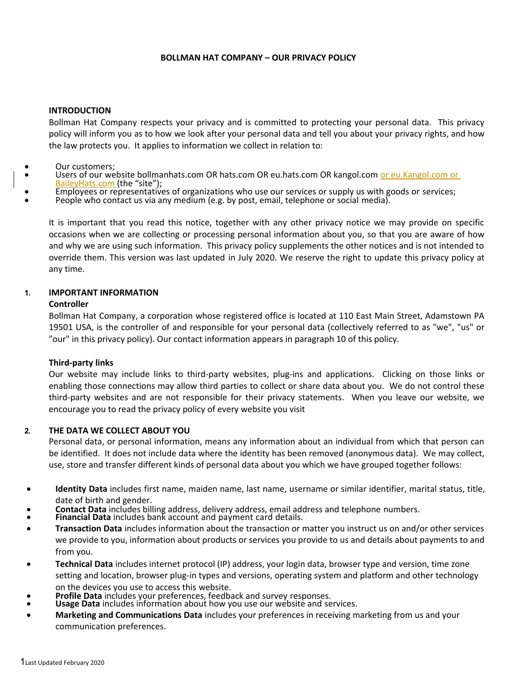## **BOLLMAN HAT COMPANY – OUR PRIVACY POLICY**

## **INTRODUCTION**

Bollman Hat Company respects your privacy and is committed to protecting your personal data. This privacy policy will inform you as to how we look after your personal data and tell you about your privacy rights, and how the law protects you. It applies to information we collect in relation to:

## Our customers;

- Users of our website bollmanhats.com OR hats.com OR eu.hats.com OR kangol.com or eu.Kangol.com or BaileyHats.com (the "site");
- Employees or representatives of organizations who use our services or supply us with goods or services;
- People who contact us via any medium (e.g. by post, email, telephone or social media).

It is important that you read this notice, together with any other privacy notice we may provide on specific occasions when we are collecting or processing personal information about you, so that you are aware of how and why we are using such information. This privacy policy supplements the other notices and is not intended to override them. This version was last updated in July 2020. We reserve the right to update this privacy policy at any time.

# **1. IMPORTANT INFORMATION**

#### **Controller**

Bollman Hat Company, a corporation whose registered office is located at 110 East Main Street, Adamstown PA 19501 USA, is the controller of and responsible for your personal data (collectively referred to as "we", "us" or "our" in this privacy policy). Our contact information appears in paragraph 10 of this policy.

#### **Third-party links**

Our website may include links to third-party websites, plug-ins and applications. Clicking on those links or enabling those connections may allow third parties to collect or share data about you. We do not control these third-party websites and are not responsible for their privacy statements. When you leave our website, we encourage you to read the privacy policy of every website you visit

# **2. THE DATA WE COLLECT ABOUT YOU**

Personal data, or personal information, means any information about an individual from which that person can be identified. It does not include data where the identity has been removed (anonymous data). We may collect, use, store and transfer different kinds of personal data about you which we have grouped together follows:

- **Identity Data** includes first name, maiden name, last name, username or similar identifier, marital status, title, date of birth and gender.
- **Contact Data** includes billing address, delivery address, email address and telephone numbers.
- **Financial Data** includes bank account and payment card details.
- **Transaction Data** includes information about the transaction or matter you instruct us on and/or other services we provide to you, information about products or services you provide to us and details about payments to and from you.
- **Technical Data** includes internet protocol (IP) address, your login data, browser type and version, time zone setting and location, browser plug-in types and versions, operating system and platform and other technology on the devices you use to access this website.
- **Profile Data** includes your preferences, feedback and survey responses.
- **Usage Data** includes information about how you use our website and services.
- **Marketing and Communications Data** includes your preferences in receiving marketing from us and your communication preferences.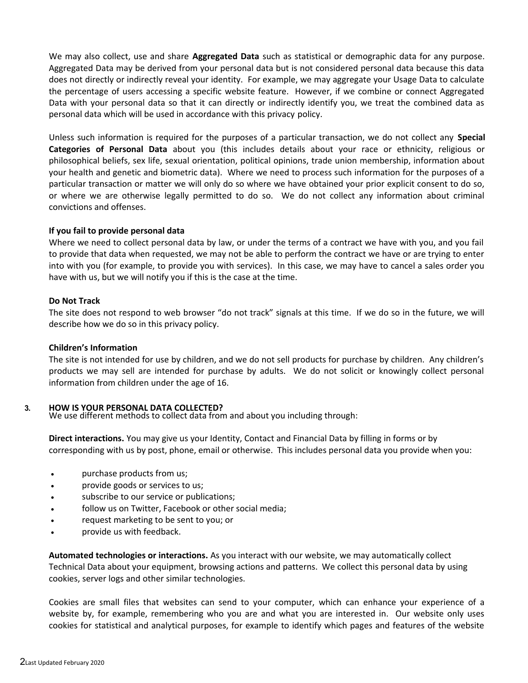We may also collect, use and share **Aggregated Data** such as statistical or demographic data for any purpose. Aggregated Data may be derived from your personal data but is not considered personal data because this data does not directly or indirectly reveal your identity. For example, we may aggregate your Usage Data to calculate the percentage of users accessing a specific website feature. However, if we combine or connect Aggregated Data with your personal data so that it can directly or indirectly identify you, we treat the combined data as personal data which will be used in accordance with this privacy policy.

Unless such information is required for the purposes of a particular transaction, we do not collect any **Special Categories of Personal Data** about you (this includes details about your race or ethnicity, religious or philosophical beliefs, sex life, sexual orientation, political opinions, trade union membership, information about your health and genetic and biometric data). Where we need to process such information for the purposes of a particular transaction or matter we will only do so where we have obtained your prior explicit consent to do so, or where we are otherwise legally permitted to do so. We do not collect any information about criminal convictions and offenses.

## **If you fail to provide personal data**

Where we need to collect personal data by law, or under the terms of a contract we have with you, and you fail to provide that data when requested, we may not be able to perform the contract we have or are trying to enter into with you (for example, to provide you with services). In this case, we may have to cancel a sales order you have with us, but we will notify you if this is the case at the time.

## **Do Not Track**

The site does not respond to web browser "do not track" signals at this time. If we do so in the future, we will describe how we do so in this privacy policy.

#### **Children's Information**

The site is not intended for use by children, and we do not sell products for purchase by children. Any children's products we may sell are intended for purchase by adults. We do not solicit or knowingly collect personal information from children under the age of 16.

# **3. HOW IS YOUR PERSONAL DATA COLLECTED?**

We use different methods to collect data from and about you including through:

**Direct interactions.** You may give us your Identity, Contact and Financial Data by filling in forms or by corresponding with us by post, phone, email or otherwise. This includes personal data you provide when you:

- purchase products from us;
- provide goods or services to us;
- subscribe to our service or publications;
- follow us on Twitter, Facebook or other social media;
- request marketing to be sent to you; or
- provide us with feedback.

**Automated technologies or interactions.** As you interact with our website, we may automatically collect Technical Data about your equipment, browsing actions and patterns. We collect this personal data by using cookies, server logs and other similar technologies.

Cookies are small files that websites can send to your computer, which can enhance your experience of a website by, for example, remembering who you are and what you are interested in. Our website only uses cookies for statistical and analytical purposes, for example to identify which pages and features of the website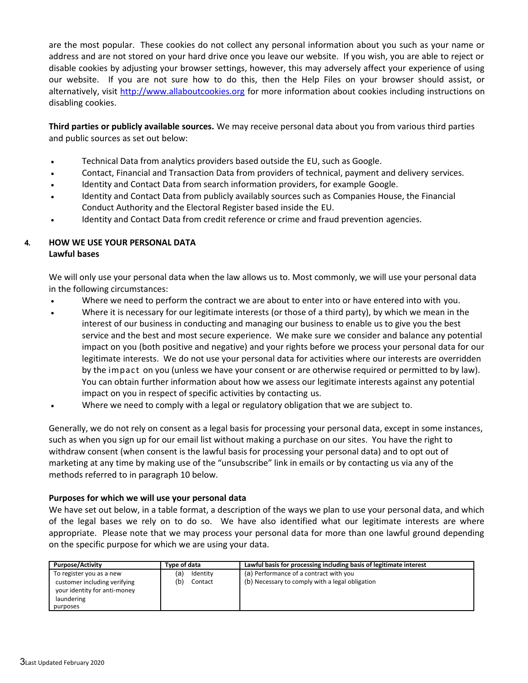are the most popular. These cookies do not collect any personal information about you such as your name or address and are not stored on your hard drive once you leave our website. If you wish, you are able to reject or disable cookies by adjusting your browser settings, however, this may adversely affect your experience of using our website. If you are not sure how to do this, then the Help Files on your browser should assist, or alternatively, visit http://www.allaboutcookies.org for more information about cookies including instructions on disabling cookies.

**Third parties or publicly available sources.** We may receive personal data about you from various third parties and public sources as set out below:

- Technical Data from analytics providers based outside the EU, such as Google.
- Contact, Financial and Transaction Data from providers of technical, payment and delivery services.
- Identity and Contact Data from search information providers, for example Google.
- Identity and Contact Data from publicly availably sources such as Companies House, the Financial Conduct Authority and the Electoral Register based inside the EU.
- Identity and Contact Data from credit reference or crime and fraud prevention agencies.

# **4. HOW WE USE YOUR PERSONAL DATA Lawful bases**

We will only use your personal data when the law allows us to. Most commonly, we will use your personal data in the following circumstances:

- Where we need to perform the contract we are about to enter into or have entered into with you.
- Where it is necessary for our legitimate interests (or those of a third party), by which we mean in the interest of our business in conducting and managing our business to enable us to give you the best service and the best and most secure experience. We make sure we consider and balance any potential impact on you (both positive and negative) and your rights before we process your personal data for our legitimate interests. We do not use your personal data for activities where our interests are overridden by the impact on you (unless we have your consent or are otherwise required or permitted to by law). You can obtain further information about how we assess our legitimate interests against any potential impact on you in respect of specific activities by contacting us.
- Where we need to comply with a legal or regulatory obligation that we are subject to.

Generally, we do not rely on consent as a legal basis for processing your personal data, except in some instances, such as when you sign up for our email list without making a purchase on our sites. You have the right to withdraw consent (when consent is the lawful basis for processing your personal data) and to opt out of marketing at any time by making use of the "unsubscribe" link in emails or by contacting us via any of the methods referred to in paragraph 10 below.

# **Purposes for which we will use your personal data**

We have set out below, in a table format, a description of the ways we plan to use your personal data, and which of the legal bases we rely on to do so. We have also identified what our legitimate interests are where appropriate. Please note that we may process your personal data for more than one lawful ground depending on the specific purpose for which we are using your data.

| <b>Purpose/Activity</b>      | Type of data    | Lawful basis for processing including basis of legitimate interest |
|------------------------------|-----------------|--------------------------------------------------------------------|
| To register you as a new     | Identity<br>(a) | (a) Performance of a contract with you                             |
| customer including verifying | 'b)<br>Contact  | (b) Necessary to comply with a legal obligation                    |
| your identity for anti-money |                 |                                                                    |
| laundering                   |                 |                                                                    |
| purposes                     |                 |                                                                    |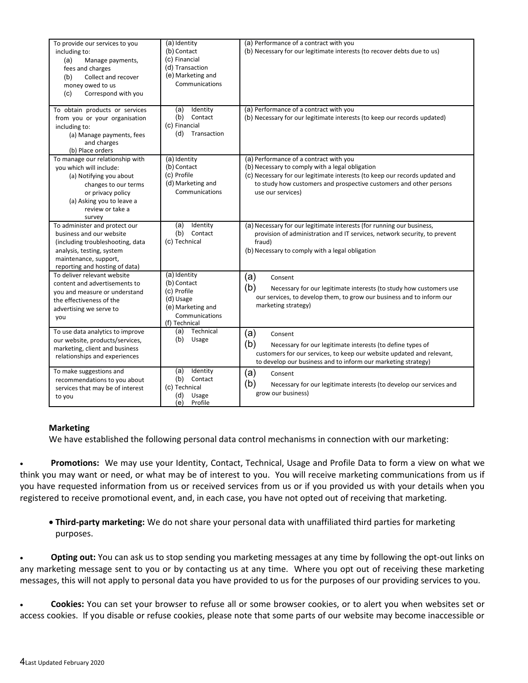| To provide our services to you<br>including to:<br>(a)<br>Manage payments,<br>fees and charges<br>Collect and recover<br>(b)<br>money owed to us<br>(c)<br>Correspond with you                | $\overline{(\mathsf{a})}$ Identity<br>(b) Contact<br>(c) Financial<br>(d) Transaction<br>(e) Marketing and<br>Communications | (a) Performance of a contract with you<br>(b) Necessary for our legitimate interests (to recover debts due to us)                                                                                                                                                   |
|-----------------------------------------------------------------------------------------------------------------------------------------------------------------------------------------------|------------------------------------------------------------------------------------------------------------------------------|---------------------------------------------------------------------------------------------------------------------------------------------------------------------------------------------------------------------------------------------------------------------|
| To obtain products or services<br>from you or your organisation<br>including to:<br>(a) Manage payments, fees<br>and charges<br>(b) Place orders                                              | (a)<br>Identity<br>(b)<br>Contact<br>(c) Financial<br>(d)<br>Transaction                                                     | (a) Performance of a contract with you<br>(b) Necessary for our legitimate interests (to keep our records updated)                                                                                                                                                  |
| To manage our relationship with<br>you which will include:<br>(a) Notifying you about<br>changes to our terms<br>or privacy policy<br>(a) Asking you to leave a<br>review or take a<br>survey | (a) Identity<br>(b) Contact<br>(c) Profile<br>(d) Marketing and<br>Communications                                            | (a) Performance of a contract with you<br>(b) Necessary to comply with a legal obligation<br>(c) Necessary for our legitimate interests (to keep our records updated and<br>to study how customers and prospective customers and other persons<br>use our services) |
| To administer and protect our<br>business and our website<br>(including troubleshooting, data<br>analysis, testing, system<br>maintenance, support,<br>reporting and hosting of data)         | Identity<br>(a)<br>(b)<br>Contact<br>(c) Technical                                                                           | (a) Necessary for our legitimate interests (for running our business,<br>provision of administration and IT services, network security, to prevent<br>fraud)<br>(b) Necessary to comply with a legal obligation                                                     |
| To deliver relevant website<br>content and advertisements to<br>you and measure or understand<br>the effectiveness of the<br>advertising we serve to<br>vou                                   | (a) Identity<br>(b) Contact<br>(c) Profile<br>(d) Usage<br>(e) Marketing and<br>Communications<br>(f) Technical              | (a)<br>Consent<br>(b)<br>Necessary for our legitimate interests (to study how customers use<br>our services, to develop them, to grow our business and to inform our<br>marketing strategy)                                                                         |
| To use data analytics to improve<br>our website, products/services,<br>marketing, client and business<br>relationships and experiences                                                        | Technical<br>(a)<br>(b)<br>Usage                                                                                             | (a)<br>Consent<br>(b)<br>Necessary for our legitimate interests (to define types of<br>customers for our services, to keep our website updated and relevant,<br>to develop our business and to inform our marketing strategy)                                       |
| To make suggestions and<br>recommendations to you about<br>services that may be of interest<br>to you                                                                                         | Identity<br>(a)<br>(b)<br>Contact<br>(c) Technical<br>(d)<br>Usage<br>(e)<br>Profile                                         | (a)<br>Consent<br>(b)<br>Necessary for our legitimate interests (to develop our services and<br>grow our business)                                                                                                                                                  |

# **Marketing**

We have established the following personal data control mechanisms in connection with our marketing:

 **Promotions:** We may use your Identity, Contact, Technical, Usage and Profile Data to form a view on what we think you may want or need, or what may be of interest to you. You will receive marketing communications from us if you have requested information from us or received services from us or if you provided us with your details when you registered to receive promotional event, and, in each case, you have not opted out of receiving that marketing.

 **Third-party marketing:** We do not share your personal data with unaffiliated third parties for marketing purposes.

 **Opting out:** You can ask us to stop sending you marketing messages at any time by following the opt-out links on any marketing message sent to you or by contacting us at any time. Where you opt out of receiving these marketing messages, this will not apply to personal data you have provided to us for the purposes of our providing services to you.

 **Cookies:** You can set your browser to refuse all or some browser cookies, or to alert you when websites set or access cookies. If you disable or refuse cookies, please note that some parts of our website may become inaccessible or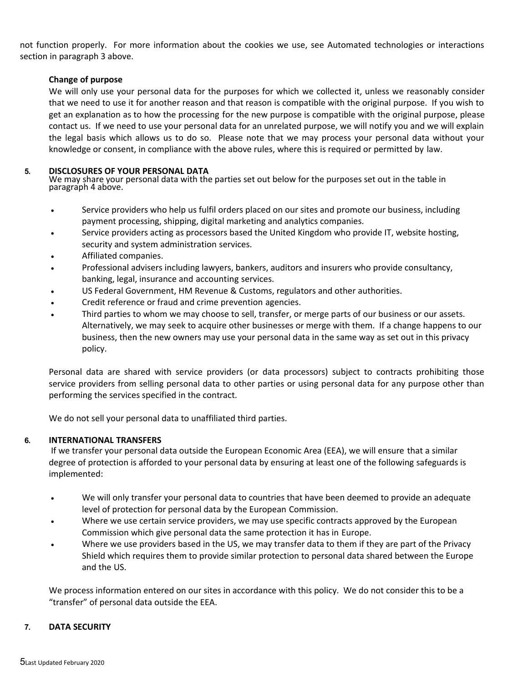not function properly. For more information about the cookies we use, see Automated technologies or interactions section in paragraph 3 above.

# **Change of purpose**

We will only use your personal data for the purposes for which we collected it, unless we reasonably consider that we need to use it for another reason and that reason is compatible with the original purpose. If you wish to get an explanation as to how the processing for the new purpose is compatible with the original purpose, please contact us. If we need to use your personal data for an unrelated purpose, we will notify you and we will explain the legal basis which allows us to do so. Please note that we may process your personal data without your knowledge or consent, in compliance with the above rules, where this is required or permitted by law.

## **5. DISCLOSURES OF YOUR PERSONAL DATA**

We may share your personal data with the parties set out below for the purposes set out in the table in paragraph 4 above.

- Service providers who help us fulfil orders placed on our sites and promote our business, including payment processing, shipping, digital marketing and analytics companies.
- Service providers acting as processors based the United Kingdom who provide IT, website hosting, security and system administration services.
- Affiliated companies.
- Professional advisers including lawyers, bankers, auditors and insurers who provide consultancy, banking, legal, insurance and accounting services.
- US Federal Government, HM Revenue & Customs, regulators and other authorities.
- Credit reference or fraud and crime prevention agencies.
- Third parties to whom we may choose to sell, transfer, or merge parts of our business or our assets. Alternatively, we may seek to acquire other businesses or merge with them. If a change happens to our business, then the new owners may use your personal data in the same way as set out in this privacy policy.

Personal data are shared with service providers (or data processors) subject to contracts prohibiting those service providers from selling personal data to other parties or using personal data for any purpose other than performing the services specified in the contract.

We do not sell your personal data to unaffiliated third parties.

# **6. INTERNATIONAL TRANSFERS**

 If we transfer your personal data outside the European Economic Area (EEA), we will ensure that a similar degree of protection is afforded to your personal data by ensuring at least one of the following safeguards is implemented:

- We will only transfer your personal data to countries that have been deemed to provide an adequate level of protection for personal data by the European Commission.
- Where we use certain service providers, we may use specific contracts approved by the European Commission which give personal data the same protection it has in Europe.
- Where we use providers based in the US, we may transfer data to them if they are part of the Privacy Shield which requires them to provide similar protection to personal data shared between the Europe and the US.

We process information entered on our sites in accordance with this policy. We do not consider this to be a "transfer" of personal data outside the EEA.

# **7. DATA SECURITY**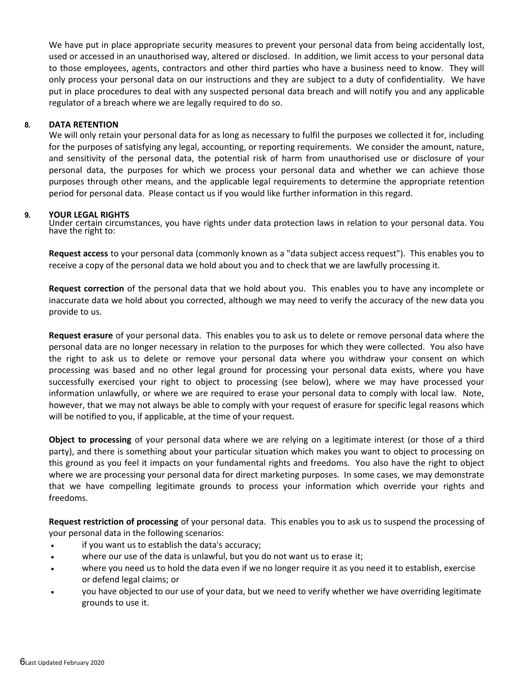We have put in place appropriate security measures to prevent your personal data from being accidentally lost, used or accessed in an unauthorised way, altered or disclosed. In addition, we limit access to your personal data to those employees, agents, contractors and other third parties who have a business need to know. They will only process your personal data on our instructions and they are subject to a duty of confidentiality. We have put in place procedures to deal with any suspected personal data breach and will notify you and any applicable regulator of a breach where we are legally required to do so.

# **8. DATA RETENTION**

We will only retain your personal data for as long as necessary to fulfil the purposes we collected it for, including for the purposes of satisfying any legal, accounting, or reporting requirements. We consider the amount, nature, and sensitivity of the personal data, the potential risk of harm from unauthorised use or disclosure of your personal data, the purposes for which we process your personal data and whether we can achieve those purposes through other means, and the applicable legal requirements to determine the appropriate retention period for personal data. Please contact us if you would like further information in this regard.

## **9. YOUR LEGAL RIGHTS**

Under certain circumstances, you have rights under data protection laws in relation to your personal data. You have the right to:

**Request access** to your personal data (commonly known as a "data subject access request"). This enables you to receive a copy of the personal data we hold about you and to check that we are lawfully processing it.

**Request correction** of the personal data that we hold about you. This enables you to have any incomplete or inaccurate data we hold about you corrected, although we may need to verify the accuracy of the new data you provide to us.

**Request erasure** of your personal data. This enables you to ask us to delete or remove personal data where the personal data are no longer necessary in relation to the purposes for which they were collected. You also have the right to ask us to delete or remove your personal data where you withdraw your consent on which processing was based and no other legal ground for processing your personal data exists, where you have successfully exercised your right to object to processing (see below), where we may have processed your information unlawfully, or where we are required to erase your personal data to comply with local law. Note, however, that we may not always be able to comply with your request of erasure for specific legal reasons which will be notified to you, if applicable, at the time of your request.

**Object to processing** of your personal data where we are relying on a legitimate interest (or those of a third party), and there is something about your particular situation which makes you want to object to processing on this ground as you feel it impacts on your fundamental rights and freedoms. You also have the right to object where we are processing your personal data for direct marketing purposes. In some cases, we may demonstrate that we have compelling legitimate grounds to process your information which override your rights and freedoms.

**Request restriction of processing** of your personal data. This enables you to ask us to suspend the processing of your personal data in the following scenarios:

- if you want us to establish the data's accuracy;
- where our use of the data is unlawful, but you do not want us to erase it;
- where you need us to hold the data even if we no longer require it as you need it to establish, exercise or defend legal claims; or
- you have objected to our use of your data, but we need to verify whether we have overriding legitimate grounds to use it.